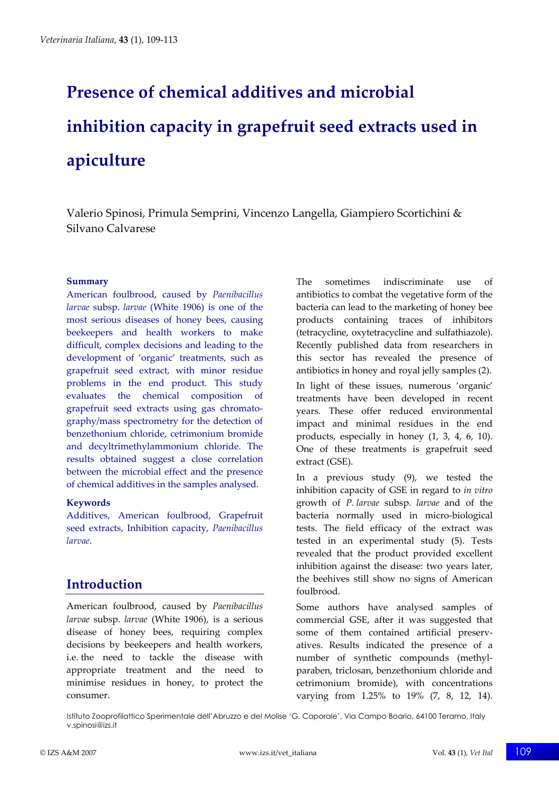# **Presence of chemical additives and microbial inhibition capacity in grapefruit seed extracts used in apiculture**

Valerio Spinosi, Primula Semprini, Vincenzo Langella, Giampiero Scortichini & Silvano Calvarese

#### **Summary**

American foulbrood, caused by *Paenibacillus larvae* subsp. *larvae* (White 1906) is one of the most serious diseases of honey bees, causing beekeepers and health workers to make difficult, complex decisions and leading to the development of 'organic' treatments, such as grapefruit seed extract, with minor residue problems in the end product. This study evaluates the chemical composition of grapefruit seed extracts using gas chromatography/mass spectrometry for the detection of benzethonium chloride, cetrimonium bromide and decyltrimethylammonium chloride. The results obtained suggest a close correlation between the microbial effect and the presence of chemical additives in the samples analysed.

#### **Keywords**

Additives, American foulbrood, Grapefruit seed extracts, Inhibition capacity, *Paenibacillus larvae*.

# **Introduction**

American foulbrood, caused by *Paenibacillus larvae* subsp. *larvae* (White 1906), is a serious disease of honey bees, requiring complex decisions by beekeepers and health workers, i.e. the need to tackle the disease with appropriate treatment and the need to minimise residues in honey, to protect the consumer.

The sometimes indiscriminate use of antibiotics to combat the vegetative form of the bacteria can lead to the marketing of honey bee products containing traces of inhibitors (tetracycline, oxytetracycline and sulfathiazole). Recently published data from researchers in this sector has revealed the presence of antibiotics in honey and royal jelly samples (2).

In light of these issues, numerous 'organic' treatments have been developed in recent years. These offer reduced environmental impact and minimal residues in the end products, especially in honey (1, 3, 4, 6, 10). One of these treatments is grapefruit seed extract (GSE).

In a previous study (9), we tested the inhibition capacity of GSE in regard to *in vitro* growth of *P. larvae* subsp. *larvae* and of the bacteria normally used in micro-biological tests. The field efficacy of the extract was tested in an experimental study (5). Tests revealed that the product provided excellent inhibition against the disease: two years later, the beehives still show no signs of American foulbrood.

Some authors have analysed samples of commercial GSE, after it was suggested that some of them contained artificial preservatives. Results indicated the presence of a number of synthetic compounds (methylparaben, triclosan, benzethonium chloride and cetrimonium bromide), with concentrations varying from 1.25% to 19% (7, 8, 12, 14).

Istituto Zooprofilattico Sperimentale dell'Abruzzo e del Molise 'G. Caporale', Via Campo Boario, 64100 Teramo, Italy v.spinosi@izs.it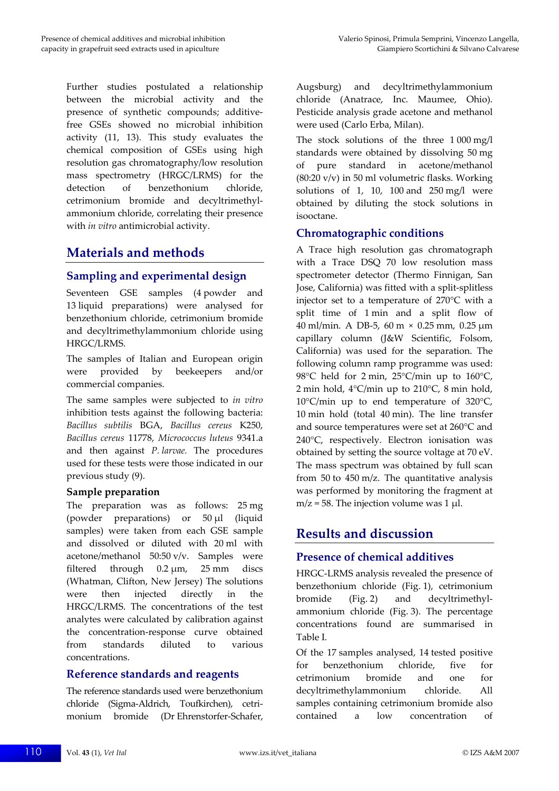Further studies postulated a relationship between the microbial activity and the presence of synthetic compounds; additivefree GSEs showed no microbial inhibition activity (11, 13). This study evaluates the chemical composition of GSEs using high resolution gas chromatography/low resolution mass spectrometry (HRGC/LRMS) for the detection of benzethonium chloride, cetrimonium bromide and decyltrimethylammonium chloride, correlating their presence with *in vitro* antimicrobial activity.

## **Materials and methods**

## **Sampling and experimental design**

Seventeen GSE samples (4 powder and 13 liquid preparations) were analysed for benzethonium chloride, cetrimonium bromide and decyltrimethylammonium chloride using HRGC/LRMS.

The samples of Italian and European origin were provided by beekeepers and/or commercial companies.

The same samples were subjected to *in vitro* inhibition tests against the following bacteria: *Bacillus subtilis* BGA, *Bacillus cereus* K250, *Bacillus cereus* 11778, *Micrococcus luteus* 9341.a and then against *P. larvae.* The procedures used for these tests were those indicated in our previous study (9).

#### **Sample preparation**

The preparation was as follows: 25 mg (powder preparations) or 50 µl (liquid samples) were taken from each GSE sample and dissolved or diluted with 20 ml with acetone/methanol 50:50 v/v. Samples were filtered through 0.2 µm, 25 mm discs (Whatman, Clifton, New Jersey) The solutions were then injected directly in the HRGC/LRMS. The concentrations of the test analytes were calculated by calibration against the concentration-response curve obtained from standards diluted to various concentrations.

#### **Reference standards and reagents**

The reference standards used were benzethonium chloride (Sigma-Aldrich, Toufkirchen), cetrimonium bromide (Dr Ehrenstorfer-Schafer, Augsburg) and decyltrimethylammonium chloride (Anatrace, Inc. Maumee, Ohio). Pesticide analysis grade acetone and methanol were used (Carlo Erba, Milan).

The stock solutions of the three 1 000 mg/l standards were obtained by dissolving 50 mg of pure standard in acetone/methanol (80:20 v/v) in 50 ml volumetric flasks. Working solutions of 1, 10, 100 and  $250 \text{ mg/l}$  were obtained by diluting the stock solutions in isooctane.

#### **Chromatographic conditions**

A Trace high resolution gas chromatograph with a Trace DSQ 70 low resolution mass spectrometer detector (Thermo Finnigan, San Jose, California) was fitted with a split-splitless injector set to a temperature of 270°C with a split time of 1 min and a split flow of 40 ml/min. A DB-5, 60 m × 0.25 mm, 0.25 µm capillary column (J&W Scientific, Folsom, California) was used for the separation. The following column ramp programme was used: 98°C held for 2 min, 25°C/min up to 160°C, 2 min hold, 4°C/min up to 210°C, 8 min hold, 10°C/min up to end temperature of 320°C, 10 min hold (total 40 min). The line transfer and source temperatures were set at 260°C and 240°C, respectively. Electron ionisation was obtained by setting the source voltage at 70 eV. The mass spectrum was obtained by full scan from 50 to 450 m/z. The quantitative analysis was performed by monitoring the fragment at  $m/z = 58$ . The injection volume was 1 µl.

# **Results and discussion**

## **Presence of chemical additives**

HRGC-LRMS analysis revealed the presence of benzethonium chloride (Fig. 1), cetrimonium bromide (Fig. 2) and decyltrimethylammonium chloride (Fig. 3). The percentage concentrations found are summarised in Table I.

Of the 17 samples analysed, 14 tested positive for benzethonium chloride, five for cetrimonium bromide and one for decyltrimethylammonium chloride. All samples containing cetrimonium bromide also contained a low concentration of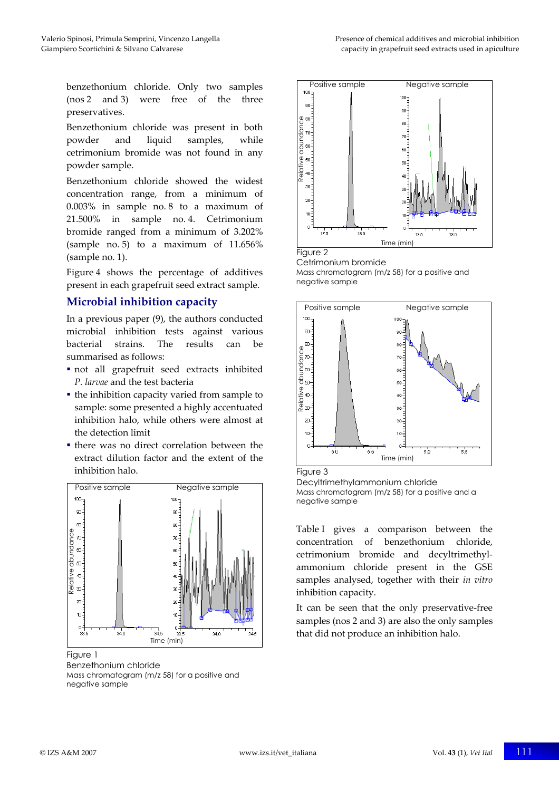benzethonium chloride. Only two samples (nos 2 and 3) were free of the three preservatives.

Benzethonium chloride was present in both powder and liquid samples, while cetrimonium bromide was not found in any powder sample.

Benzethonium chloride showed the widest concentration range, from a minimum of 0.003% in sample no. 8 to a maximum of 21.500% in sample no. 4. Cetrimonium bromide ranged from a minimum of 3.202% (sample no. 5) to a maximum of 11.656% (sample no. 1).

Figure 4 shows the percentage of additives present in each grapefruit seed extract sample.

## **Microbial inhibition capacity**

In a previous paper (9), the authors conducted microbial inhibition tests against various bacterial strains. The results can be summarised as follows:

- not all grapefruit seed extracts inhibited *P. larvae* and the test bacteria
- $\blacksquare$  the inhibition capacity varied from sample to sample: some presented a highly accentuated inhibition halo, while others were almost at the detection limit
- there was no direct correlation between the extract dilution factor and the extent of the inhibition halo.



Figure 1

Benzethonium chloride Mass chromatogram (m/z 58) for a positive and negative sample



Cetrimonium bromide Mass chromatogram (m/z 58) for a positive and negative sample



Figure 3

Decyltrimethylammonium chloride Mass chromatogram (m/z 58) for a positive and a negative sample

Table I gives a comparison between the concentration of benzethonium chloride, cetrimonium bromide and decyltrimethylammonium chloride present in the GSE samples analysed, together with their *in vitro* inhibition capacity.

It can be seen that the only preservative-free samples (nos 2 and 3) are also the only samples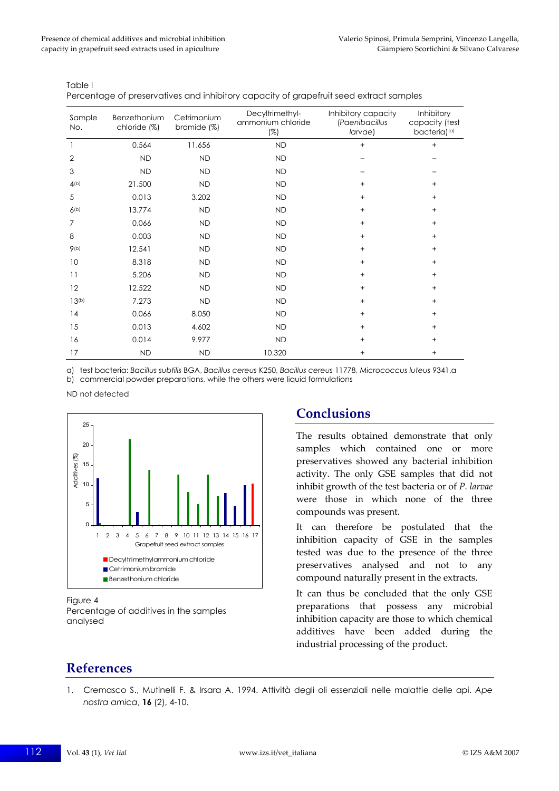Table I

Percentage of preservatives and inhibitory capacity of grapefruit seed extract samples

| Sample<br>No.     | Benzethonium<br>chloride (%) | Cetrimonium<br>bromide $(\%)$ | Decyltrimethyl-<br>ammonium chloride<br>$(\%)$ | Inhibitory capacity<br>(Paenibacillus<br>larvae) | Inhibitory<br>capacity (test<br>bacteria)(a) |
|-------------------|------------------------------|-------------------------------|------------------------------------------------|--------------------------------------------------|----------------------------------------------|
| 1                 | 0.564                        | 11.656                        | <b>ND</b>                                      | $+$                                              | $^{+}$                                       |
| $\overline{2}$    | <b>ND</b>                    | <b>ND</b>                     | <b>ND</b>                                      |                                                  |                                              |
| 3                 | <b>ND</b>                    | <b>ND</b>                     | <b>ND</b>                                      |                                                  |                                              |
| 4(b)              | 21.500                       | <b>ND</b>                     | <b>ND</b>                                      | $+$                                              | $+$                                          |
| 5                 | 0.013                        | 3.202                         | <b>ND</b>                                      | $^{+}$                                           | $+$                                          |
| 6(b)              | 13.774                       | <b>ND</b>                     | <b>ND</b>                                      | $+$                                              | $+$                                          |
| $\overline{7}$    | 0.066                        | <b>ND</b>                     | <b>ND</b>                                      | $+$                                              | $+$                                          |
| 8                 | 0.003                        | <b>ND</b>                     | <b>ND</b>                                      | $+$                                              | $+$                                          |
| 9(b)              | 12.541                       | <b>ND</b>                     | <b>ND</b>                                      | $^{+}$                                           | $\ddot{}$                                    |
| 10                | 8.318                        | <b>ND</b>                     | <b>ND</b>                                      | $\ddot{}$                                        | $\ddot{}$                                    |
| 11                | 5.206                        | <b>ND</b>                     | <b>ND</b>                                      | $\ddot{}$                                        | $+$                                          |
| 12                | 12.522                       | <b>ND</b>                     | <b>ND</b>                                      | $\ddot{}$                                        | $\ddot{}$                                    |
| 13 <sup>(b)</sup> | 7.273                        | <b>ND</b>                     | <b>ND</b>                                      | $+$                                              | $+$                                          |
| 14                | 0.066                        | 8.050                         | <b>ND</b>                                      | $^{+}$                                           | $+$                                          |
| 15                | 0.013                        | 4.602                         | <b>ND</b>                                      | $+$                                              | $+$                                          |
| 16                | 0.014                        | 9.977                         | <b>ND</b>                                      | $+$                                              | $+$                                          |
| 17                | <b>ND</b>                    | <b>ND</b>                     | 10.320                                         | $+$                                              | $+$                                          |

a) test bacteria: *Bacillus subtilis* BGA, *Bacillus cereus* K250, *Bacillus cereus* 11778, *Micrococcus luteus* 9341.a b) commercial powder preparations, while the others were liquid formulations

ND not detected



Percentage of additives in the samples

**Conclusions** 

The results obtained demonstrate that only samples which contained one or more preservatives showed any bacterial inhibition activity. The only GSE samples that did not inhibit growth of the test bacteria or of *P. larvae* were those in which none of the three compounds was present.

It can therefore be postulated that the inhibition capacity of GSE in the samples tested was due to the presence of the three preservatives analysed and not to any compound naturally present in the extracts.

It can thus be concluded that the only GSE preparations that possess any microbial inhibition capacity are those to which chemical additives have been added during the industrial processing of the product.

## **References**

analysed

1. Cremasco S., Mutinelli F. & Irsara A. 1994. Attività degli oli essenziali nelle malattie delle api. *Ape nostra amica*, **16** (2), 4-10.